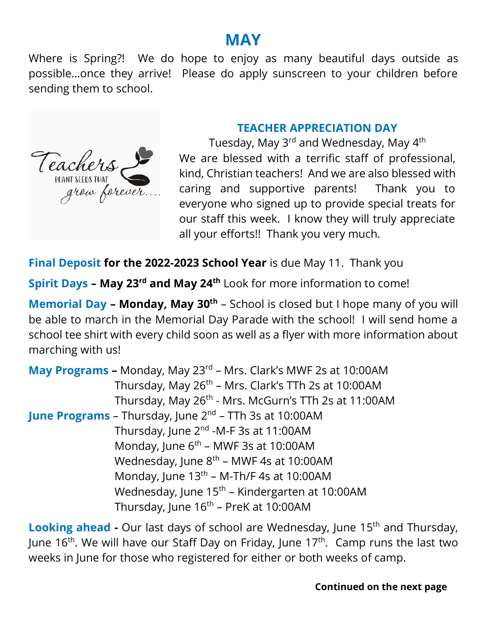## **MAY**

Where is Spring?! We do hope to enjoy as many beautiful days outside as possible…once they arrive! Please do apply sunscreen to your children before sending them to school.



## **TEACHER APPRECIATION DAY**

Tuesday, May 3<sup>rd</sup> and Wednesday, May 4<sup>th</sup> We are blessed with a terrific staff of professional, kind, Christian teachers! And we are also blessed with caring and supportive parents! Thank you to everyone who signed up to provide special treats for our staff this week. I know they will truly appreciate all your efforts!! Thank you very much.

**Final Deposit for the 2022-2023 School Year** is due May 11. Thank you

**Spirit Days - May 23<sup>rd</sup> and May 24<sup>th</sup> Look for more information to come!** 

**Memorial Day – Monday, May 30th** – School is closed but I hope many of you will be able to march in the Memorial Day Parade with the school! I will send home a school tee shirt with every child soon as well as a flyer with more information about marching with us!

**May Programs -** Monday, May 23<sup>rd</sup> - Mrs. Clark's MWF 2s at 10:00AM Thursday, May 26<sup>th</sup> – Mrs. Clark's TTh 2s at 10:00AM Thursday, May 26<sup>th</sup> - Mrs. McGurn's TTh 2s at 11:00AM **June Programs** – Thursday, June 2<sup>nd</sup> – TTh 3s at 10:00AM Thursday, June 2<sup>nd</sup> -M-F 3s at 11:00AM Monday, June 6<sup>th</sup> – MWF 3s at 10:00AM Wednesday, June 8<sup>th</sup> – MWF 4s at 10:00AM Monday, June 13<sup>th</sup> – M-Th/F 4s at 10:00AM Wednesday, June 15<sup>th</sup> – Kindergarten at 10:00AM Thursday, June 16<sup>th</sup> – PreK at 10:00AM

Looking ahead - Our last days of school are Wednesday, June 15<sup>th</sup> and Thursday, June 16<sup>th</sup>. We will have our Staff Day on Friday, June 17<sup>th</sup>. Camp runs the last two weeks in June for those who registered for either or both weeks of camp.